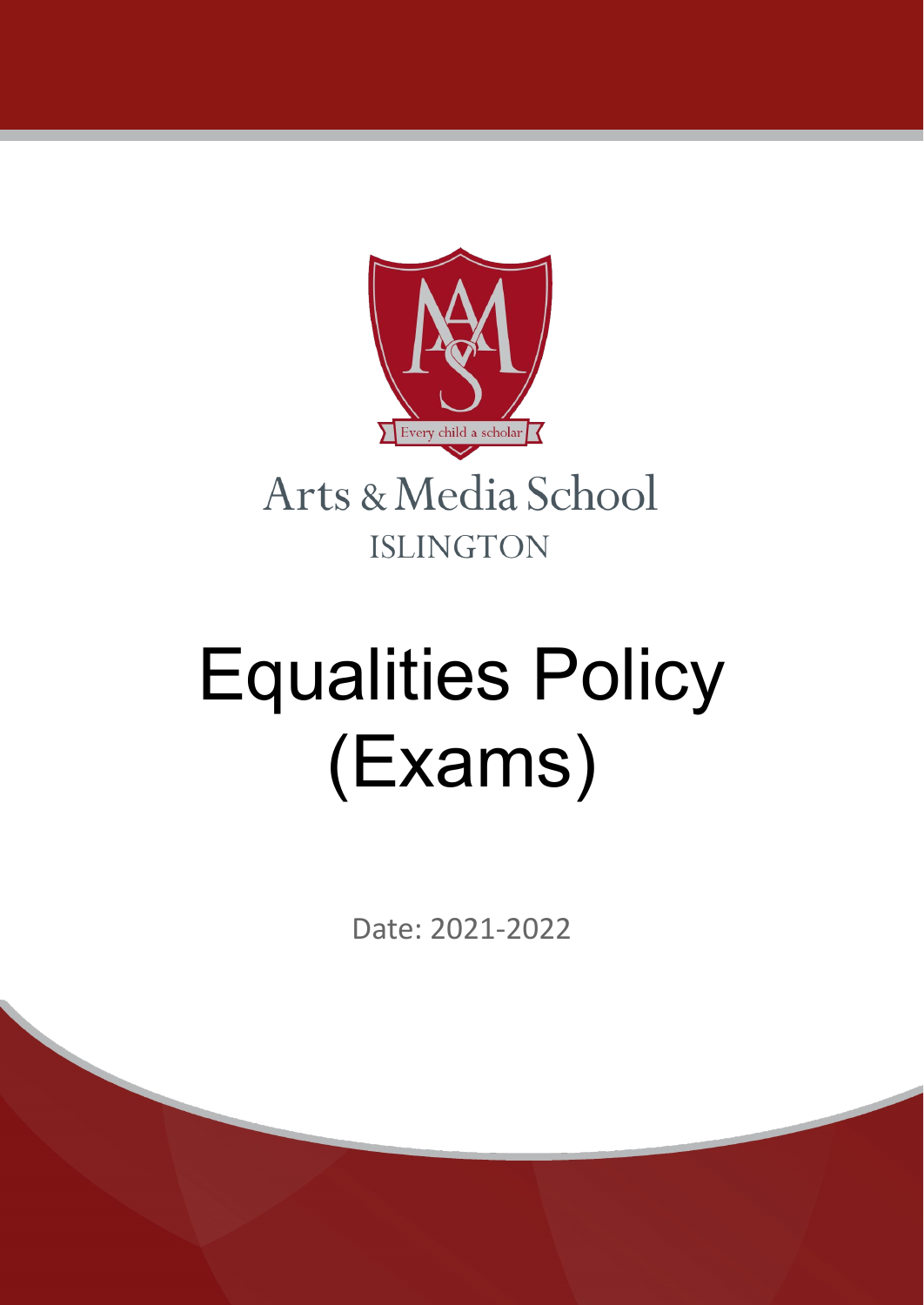

# Equalities Policy (Exams)

Date: 2021-2022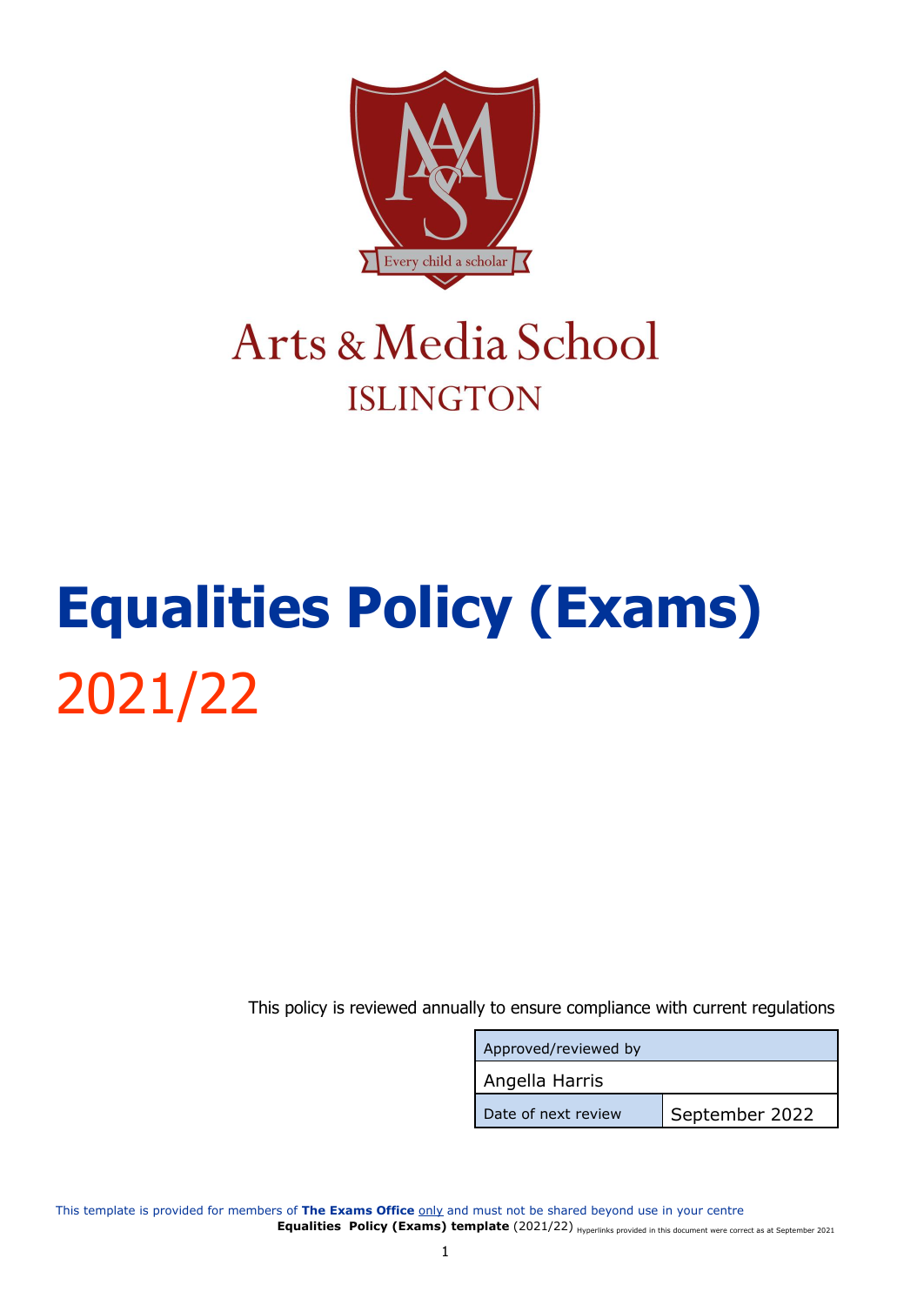

### Arts & Media School **ISLINGTON**

## <span id="page-1-0"></span>**Equalities Policy (Exams)** 2021/22

This policy is reviewed annually to ensure compliance with current regulations

| Approved/reviewed by |                |  |
|----------------------|----------------|--|
| Angella Harris       |                |  |
| Date of next review  | September 2022 |  |

This template is provided for members of The Exams Office only and must not be shared beyond use in your centre Equalities Policy (Exams) template (2021/22) Hyperlinks provided in this document were correct as at September 2021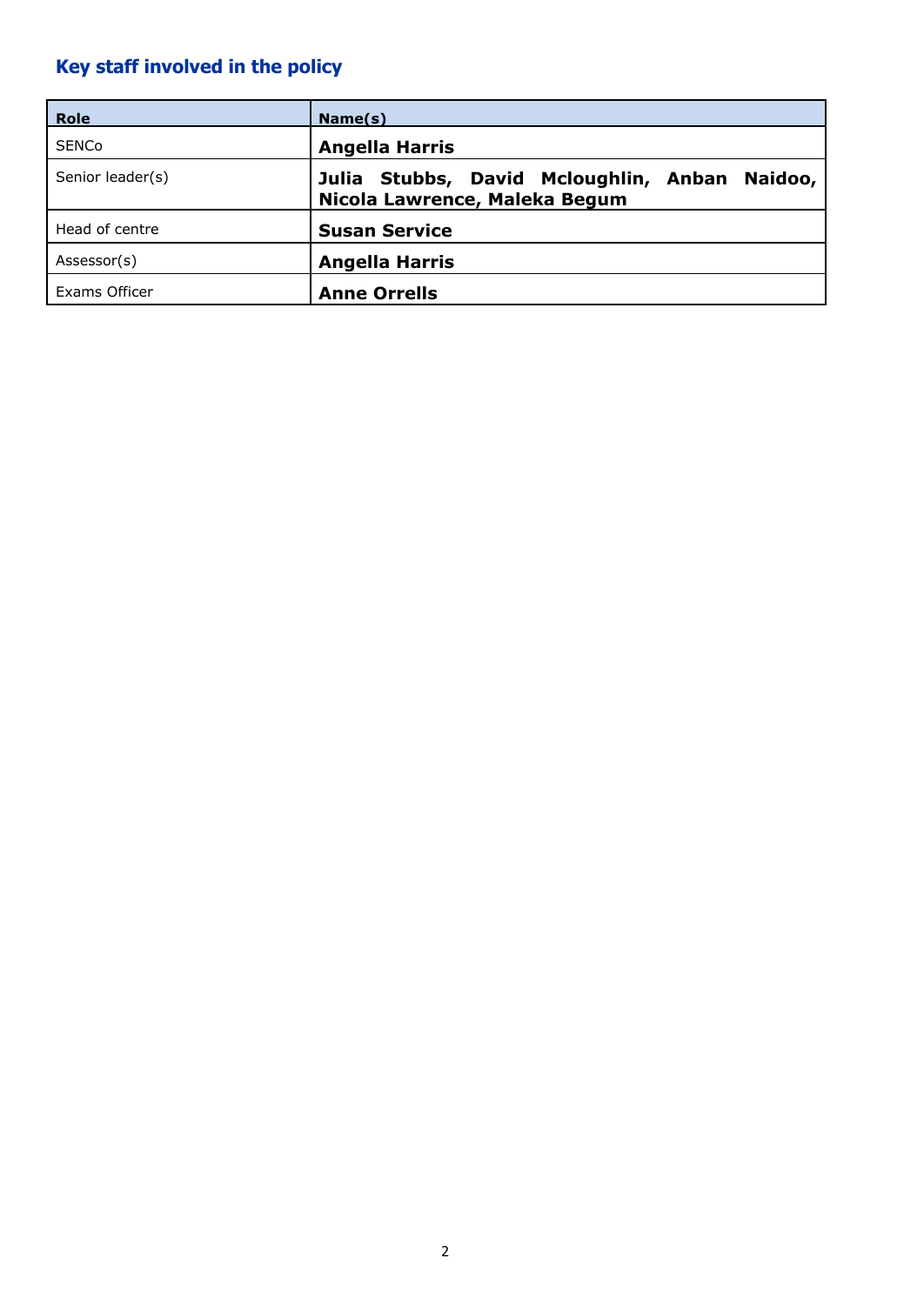### <span id="page-2-0"></span>**Key staff involved in the policy**

| <b>Role</b>      | Name(s)                                                                           |
|------------------|-----------------------------------------------------------------------------------|
| <b>SENCo</b>     | <b>Angella Harris</b>                                                             |
| Senior leader(s) | Julia Stubbs, David Mcloughlin, Anban<br>Naidoo,<br>Nicola Lawrence, Maleka Begum |
| Head of centre   | <b>Susan Service</b>                                                              |
| Assessor(s)      | <b>Angella Harris</b>                                                             |
| Exams Officer    | <b>Anne Orrells</b>                                                               |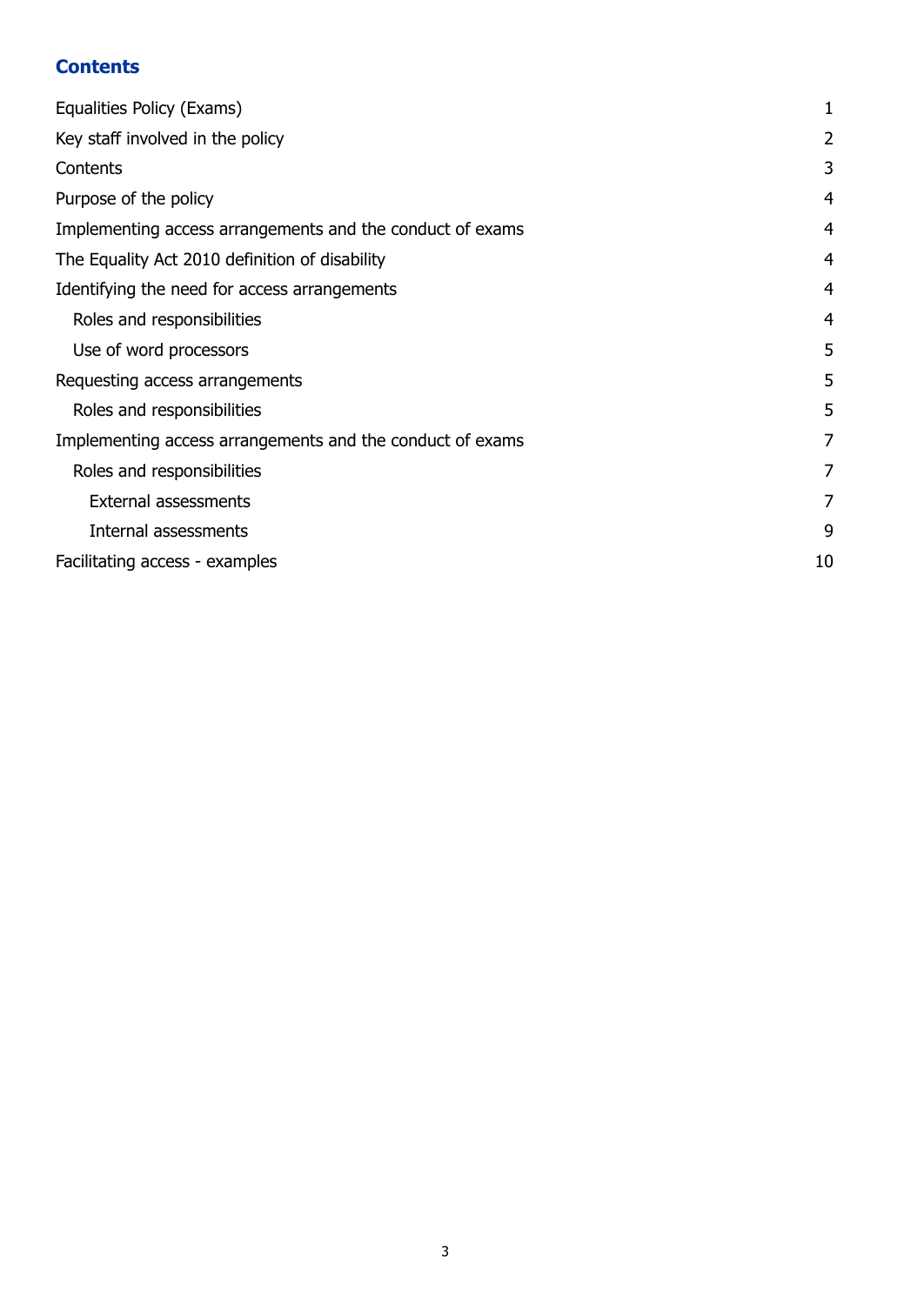#### <span id="page-3-0"></span>**Contents**

| Equalities Policy (Exams)                                 |    |
|-----------------------------------------------------------|----|
| Key staff involved in the policy                          | 2  |
| Contents                                                  | 3  |
| Purpose of the policy                                     | 4  |
| Implementing access arrangements and the conduct of exams | 4  |
| The Equality Act 2010 definition of disability            | 4  |
| Identifying the need for access arrangements              | 4  |
| Roles and responsibilities                                | 4  |
| Use of word processors                                    | 5  |
| Requesting access arrangements                            | 5  |
| Roles and responsibilities                                | 5  |
| Implementing access arrangements and the conduct of exams | 7  |
| Roles and responsibilities                                | 7  |
| <b>External assessments</b>                               | 7  |
| Internal assessments                                      | 9  |
| Facilitating access - examples                            | 10 |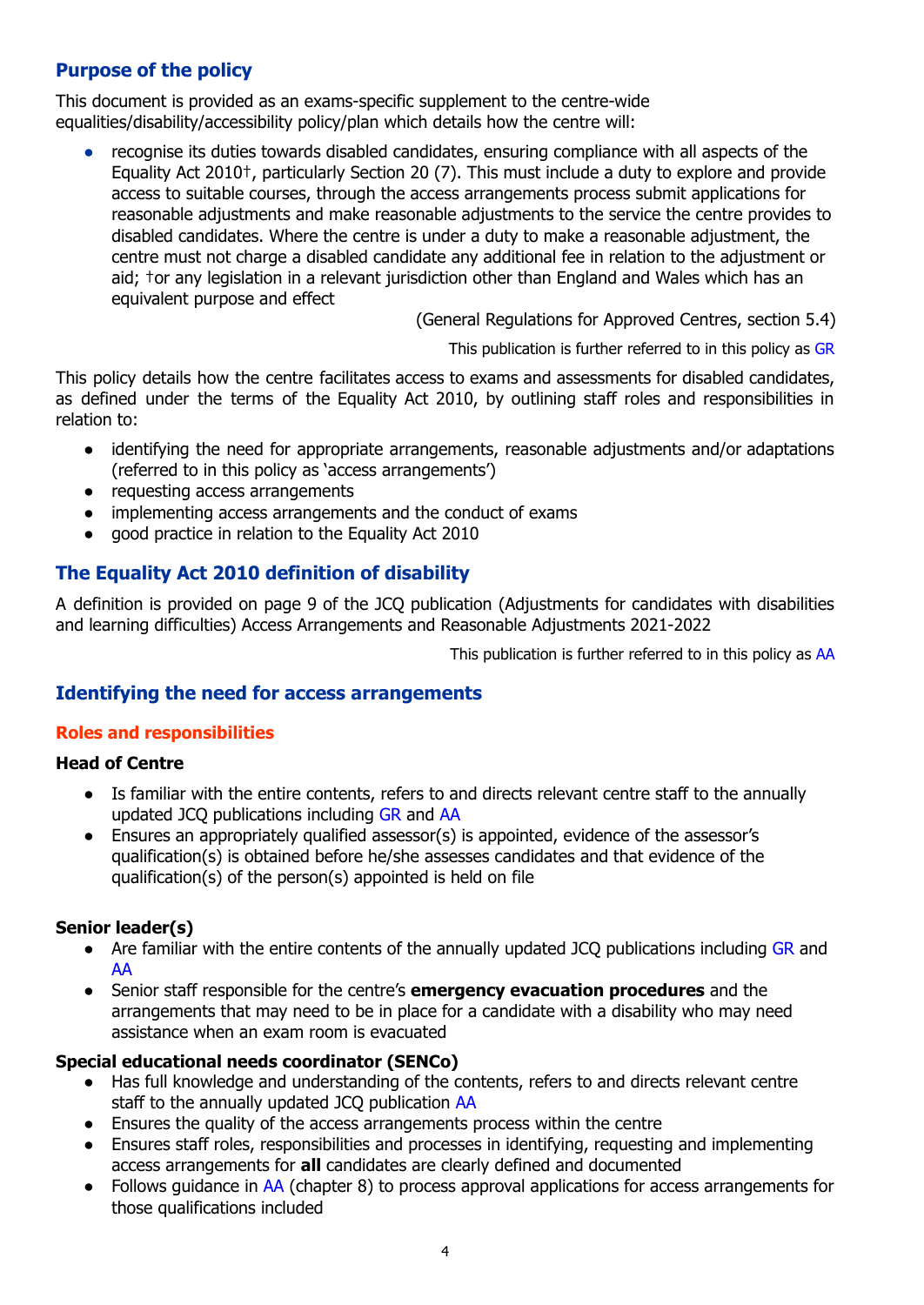#### <span id="page-4-0"></span>**Purpose of the policy**

This document is provided as an exams-specific supplement to the centre-wide equalities/disability/accessibility policy/plan which details how the centre will:

recognise its duties towards disabled candidates, ensuring compliance with all aspects of the Equality Act 2010†, particularly Section 20 (7). This must include a duty to explore and provide access to suitable courses, through the access arrangements process submit applications for reasonable adjustments and make reasonable adjustments to the service the centre provides to disabled candidates. Where the centre is under a duty to make a reasonable adjustment, the centre must not charge a disabled candidate any additional fee in relation to the adjustment or aid; †or any legislation in a relevant jurisdiction other than England and Wales which has an equivalent purpose and effect

(General Regulations for Approved Centres, section 5.4)

This publication is further referred to in this policy as [GR](http://www.jcq.org.uk/exams-office/general-regulations)

This policy details how the centre facilitates access to exams and assessments for disabled candidates, as defined under the terms of the Equality Act 2010, by outlining staff roles and responsibilities in relation to:

- identifying the need for appropriate arrangements, reasonable adjustments and/or adaptations (referred to in this policy as 'access arrangements')
- requesting access arrangements
- implementing access arrangements and the conduct of exams
- good practice in relation to the Equality Act 2010

#### <span id="page-4-1"></span>**The Equality Act 2010 definition of disability**

A definition is provided on page 9 of the JCQ publication (Adjustments for candidates with disabilities and learning difficulties) Access Arrangements and Reasonable Adjustments 2021-2022

This publication is further referred to in this policy as [AA](http://www.jcq.org.uk/exams-office/access-arrangements-and-special-consideration/regulations-and-guidance)

#### <span id="page-4-2"></span>**Identifying the need for access arrangements**

#### <span id="page-4-3"></span>**Roles and responsibilities**

#### **Head of Centre**

- Is familiar with the entire contents, refers to and directs relevant centre staff to the annually updated JCQ publications including [GR](http://www.jcq.org.uk/exams-office/general-regulations) and [AA](http://www.jcq.org.uk/exams-office/access-arrangements-and-special-consideration/regulations-and-guidance)
- Ensures an appropriately qualified assessor(s) is appointed, evidence of the assessor's qualification(s) is obtained before he/she assesses candidates and that evidence of the qualification(s) of the person(s) appointed is held on file

#### **Senior leader(s)**

- Are familiar with the entire contents of the annually updated JCQ publications including [GR](http://www.jcq.org.uk/exams-office/general-regulations) and [AA](http://www.jcq.org.uk/exams-office/access-arrangements-and-special-consideration/regulations-and-guidance)
- Senior staff responsible for the centre's **emergency evacuation procedures** and the arrangements that may need to be in place for a candidate with a disability who may need assistance when an exam room is evacuated

#### **Special educational needs coordinator (SENCo)**

- Has full knowledge and understanding of the contents, refers to and directs relevant centre staff to the annually updated JCO publication [AA](http://www.jcq.org.uk/exams-office/access-arrangements-and-special-consideration/regulations-and-guidance)
- Ensures the quality of the access arrangements process within the centre
- Ensures staff roles, responsibilities and processes in identifying, requesting and implementing access arrangements for **all** candidates are clearly defined and documented
- Follows quidance in [AA](http://www.jcq.org.uk/exams-office/access-arrangements-and-special-consideration) (chapter 8) to process approval applications for access arrangements for those qualifications included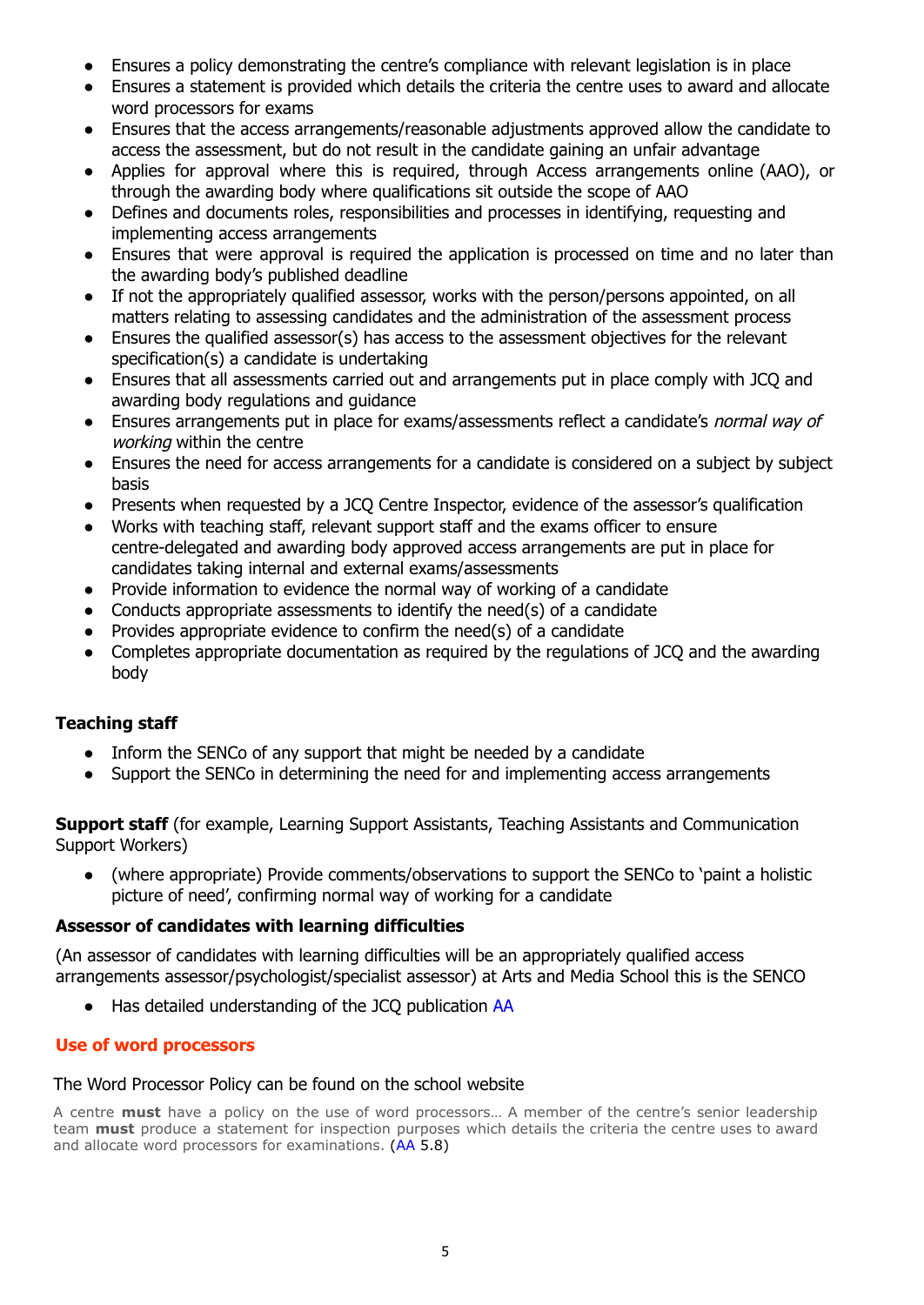- Ensures a policy demonstrating the centre's compliance with relevant legislation is in place
- Ensures a statement is provided which details the criteria the centre uses to award and allocate word processors for exams
- Ensures that the access arrangements/reasonable adjustments approved allow the candidate to access the assessment, but do not result in the candidate gaining an unfair advantage
- Applies for approval where this is required, through Access arrangements online (AAO), or through the awarding body where qualifications sit outside the scope of AAO
- Defines and documents roles, responsibilities and processes in identifying, requesting and implementing access arrangements
- **●** Ensures that were approval is required the application is processed on time and no later than the awarding body's published deadline
- **●** If not the appropriately qualified assessor, works with the person/persons appointed, on all matters relating to assessing candidates and the administration of the assessment process
- Ensures the qualified assessor(s) has access to the assessment objectives for the relevant specification(s) a candidate is undertaking
- **●** Ensures that all assessments carried out and arrangements put in place comply with JCQ and awarding body regulations and guidance
- **●** Ensures arrangements put in place for exams/assessments reflect a candidate's normal way of working within the centre
- **●** Ensures the need for access arrangements for a candidate is considered on a subject by subject basis
- **●** Presents when requested by a JCQ Centre Inspector, evidence of the assessor's qualification
- **●** Works with teaching staff, relevant support staff and the exams officer to ensure centre-delegated and awarding body approved access arrangements are put in place for candidates taking internal and external exams/assessments
- Provide information to evidence the normal way of working of a candidate
- Conducts appropriate assessments to identify the need(s) of a candidate
- Provides appropriate evidence to confirm the need(s) of a candidate
- Completes appropriate documentation as required by the regulations of JCQ and the awarding body

#### **Teaching staff**

- Inform the SENCo of any support that might be needed by a candidate
- Support the SENCo in determining the need for and implementing access arrangements

**Support staff** (for example, Learning Support Assistants, Teaching Assistants and Communication Support Workers)

● (where appropriate) Provide comments/observations to support the SENCo to 'paint a holistic picture of need', confirming normal way of working for a candidate

#### **Assessor of candidates with learning difficulties**

(An assessor of candidates with learning difficulties will be an appropriately qualified access arrangements assessor/psychologist/specialist assessor) at Arts and Media School this is the SENCO

● Has detailed understanding of the JCQ publication [AA](http://www.jcq.org.uk/exams-office/access-arrangements-and-special-consideration/regulations-and-guidance)

#### <span id="page-5-0"></span>**Use of word processors**

#### The Word Processor Policy can be found on the school website

<span id="page-5-1"></span>A centre **must** have a policy on the use of word processors… A member of the centre's senior leadership team **must** produce a statement for inspection purposes which details the criteria the centre uses to award and allocate word processors for examinations. ([AA](http://www.jcq.org.uk/exams-office/access-arrangements-and-special-consideration/regulations-and-guidance) 5.8)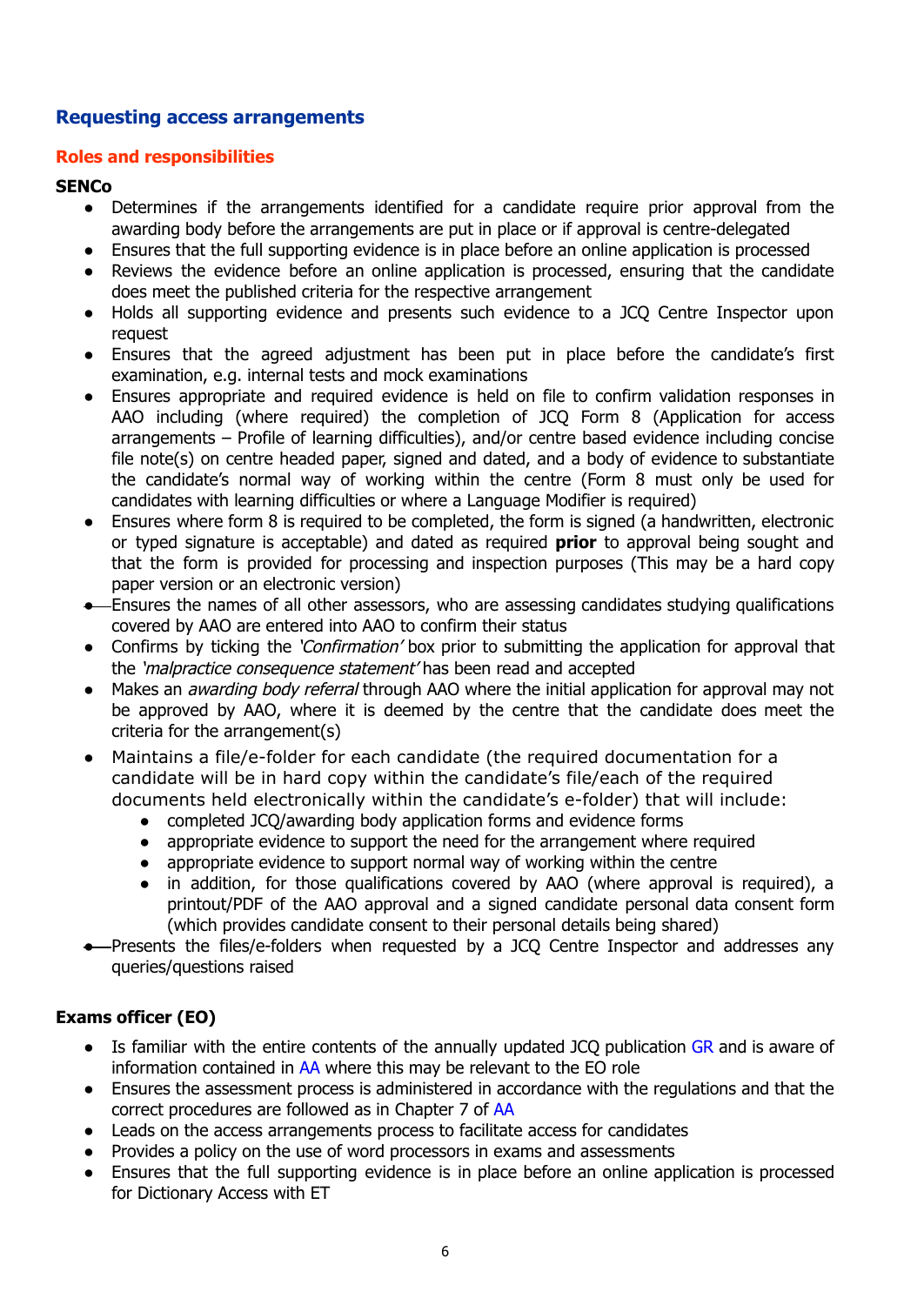#### **Requesting access arrangements**

#### <span id="page-6-0"></span>**Roles and responsibilities**

#### **SENCo**

- **●** Determines if the arrangements identified for a candidate require prior approval from the awarding body before the arrangements are put in place or if approval is centre-delegated
- **●** Ensures that the full supporting evidence is in place before an online application is processed
- **●** Reviews the evidence before an online application is processed, ensuring that the candidate does meet the published criteria for the respective arrangement
- **●** Holds all supporting evidence and presents such evidence to a JCQ Centre Inspector upon request
- **●** Ensures that the agreed adjustment has been put in place before the candidate's first examination, e.g. internal tests and mock examinations
- Ensures appropriate and required evidence is held on file to confirm validation responses in AAO including (where required) the completion of JCQ Form 8 (Application for access arrangements – Profile of learning difficulties), and/or centre based evidence including concise file note(s) on centre headed paper, signed and dated, and a body of evidence to substantiate the candidate's normal way of working within the centre (Form 8 must only be used for candidates with learning difficulties or where a Language Modifier is required)
- Ensures where form 8 is required to be completed, the form is signed (a handwritten, electronic or typed signature is acceptable) and dated as required **prior** to approval being sought and that the form is provided for processing and inspection purposes (This may be a hard copy paper version or an electronic version)
- Ensures the names of all other assessors, who are assessing candidates studying qualifications covered by AAO are entered into AAO to confirm their status
- Confirms by ticking the '*Confirmation'* box prior to submitting the application for approval that the 'malpractice consequence statement' has been read and accepted
- Makes an *awarding body referral* through AAO where the initial application for approval may not be approved by AAO, where it is deemed by the centre that the candidate does meet the criteria for the arrangement(s)
- Maintains a file/e-folder for each candidate (the required documentation for a candidate will be in hard copy within the candidate's file/each of the required documents held electronically within the candidate's e-folder) that will include:
	- **●** completed JCQ/awarding body application forms and evidence forms
	- **●** appropriate evidence to support the need for the arrangement where required
	- **●** appropriate evidence to support normal way of working within the centre
	- **●** in addition, for those qualifications covered by AAO (where approval is required), a printout/PDF of the AAO approval and a signed candidate personal data consent form (which provides candidate consent to their personal details being shared)
- -Presents the files/e-folders when requested by a JCO Centre Inspector and addresses any queries/questions raised

#### **Exams officer (EO)**

- Is familiar with the entire contents of the annually updated JCO publication [GR](http://www.jcq.org.uk/exams-office/general-regulations) and is aware of information contained in [AA](http://www.jcq.org.uk/exams-office/access-arrangements-and-special-consideration/regulations-and-guidance) where this may be relevant to the EO role
- Ensures the assessment process is administered in accordance with the regulations and that the correct procedures are followed as in Chapter 7 of [AA](http://www.jcq.org.uk/exams-office/access-arrangements-and-special-consideration/regulations-and-guidance)
- **●** Leads on the access arrangements process to facilitate access for candidates
- **●** Provides a policy on the use of word processors in exams and assessments
- **●** Ensures that the full supporting evidence is in place before an online application is processed for Dictionary Access with ET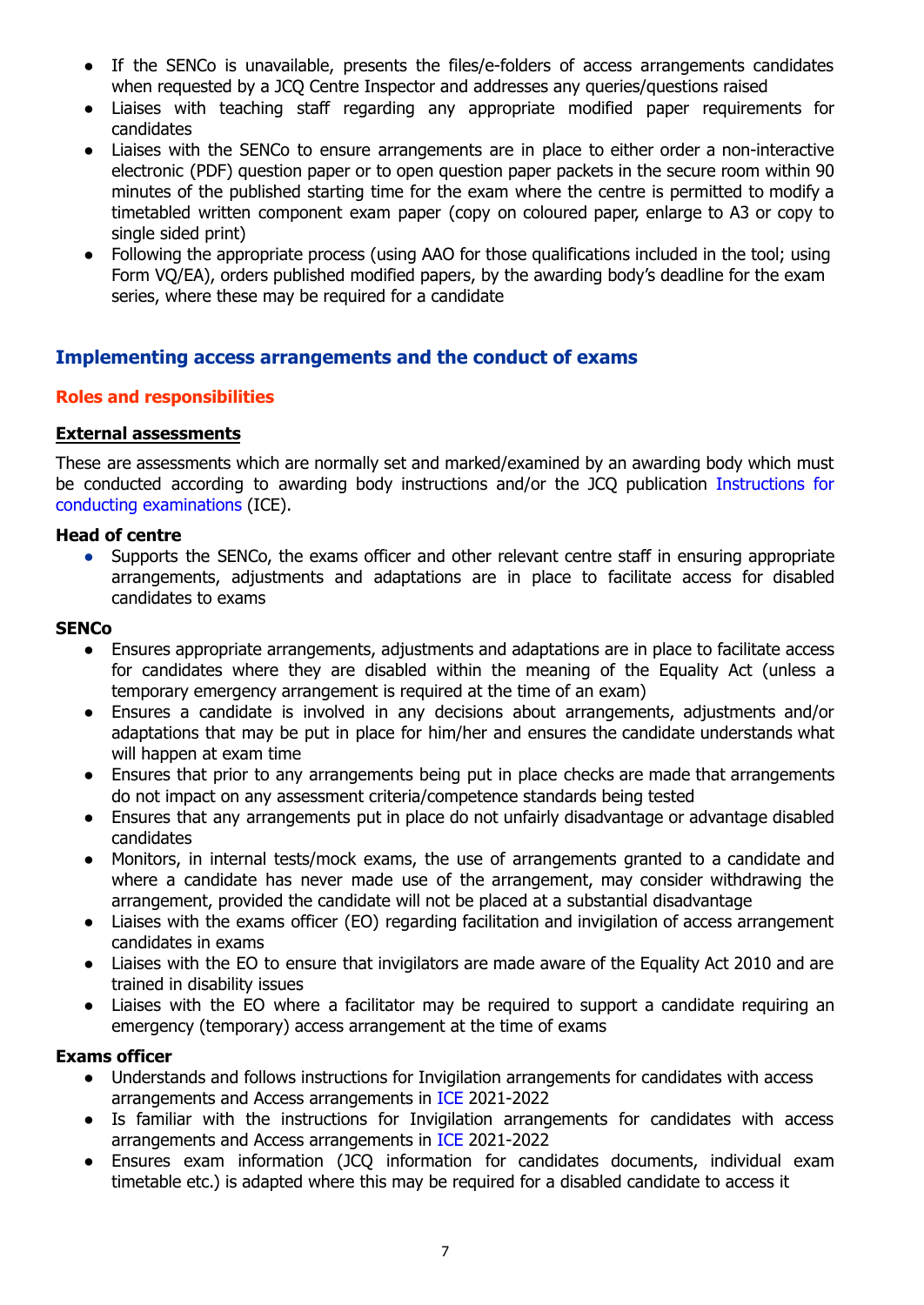- If the SENCo is unavailable, presents the files/e-folders of access arrangements candidates when requested by a JCQ Centre Inspector and addresses any queries/questions raised
- Liaises with teaching staff regarding any appropriate modified paper requirements for candidates
- Liaises with the SENCo to ensure arrangements are in place to either order a non-interactive electronic (PDF) question paper or to open question paper packets in the secure room within 90 minutes of the published starting time for the exam where the centre is permitted to modify a timetabled written component exam paper (copy on coloured paper, enlarge to A3 or copy to single sided print)
- **●** Following the appropriate process (using AAO for those qualifications included in the tool; using Form VQ/EA), orders published modified papers, by the awarding body's deadline for the exam series, where these may be required for a candidate

#### <span id="page-7-0"></span>**Implementing access arrangements and the conduct of exams**

#### <span id="page-7-1"></span>**Roles and responsibilities**

#### <span id="page-7-2"></span>**External assessments**

These are assessments which are normally set and marked/examined by an awarding body which must be conducted according to awarding body instructions and/or the JCQ publication [Instructions](http://www.jcq.org.uk/exams-office/ice---instructions-for-conducting-examinations) for conducting [examinations](http://www.jcq.org.uk/exams-office/ice---instructions-for-conducting-examinations) (ICE).

#### **Head of centre**

• Supports the SENCo, the exams officer and other relevant centre staff in ensuring appropriate arrangements, adjustments and adaptations are in place to facilitate access for disabled candidates to exams

#### **SENCo**

- **●** Ensures appropriate arrangements, adjustments and adaptations are in place to facilitate access for candidates where they are disabled within the meaning of the Equality Act (unless a temporary emergency arrangement is required at the time of an exam)
- Ensures a candidate is involved in any decisions about arrangements, adjustments and/or adaptations that may be put in place for him/her and ensures the candidate understands what will happen at exam time
- Ensures that prior to any arrangements being put in place checks are made that arrangements do not impact on any assessment criteria/competence standards being tested
- Ensures that any arrangements put in place do not unfairly disadvantage or advantage disabled candidates
- Monitors, in internal tests/mock exams, the use of arrangements granted to a candidate and where a candidate has never made use of the arrangement, may consider withdrawing the arrangement, provided the candidate will not be placed at a substantial disadvantage
- Liaises with the exams officer (EO) regarding facilitation and invigilation of access arrangement candidates in exams
- Liaises with the EO to ensure that invigilators are made aware of the Equality Act 2010 and are trained in disability issues
- Liaises with the EO where a facilitator may be required to support a candidate requiring an emergency (temporary) access arrangement at the time of exams

#### **Exams officer**

- Understands and follows instructions for Invigilation arrangements for candidates with access arrangements and Access arrangements in [ICE](http://www.jcq.org.uk/exams-office/ice---instructions-for-conducting-examinations) 2021-2022
- Is familiar with the instructions for Invigilation arrangements for candidates with access arrangements and Access arrangements in [ICE](http://www.jcq.org.uk/exams-office/ice---instructions-for-conducting-examinations) 2021-2022
- Ensures exam information (JCQ information for candidates documents, individual exam timetable etc.) is adapted where this may be required for a disabled candidate to access it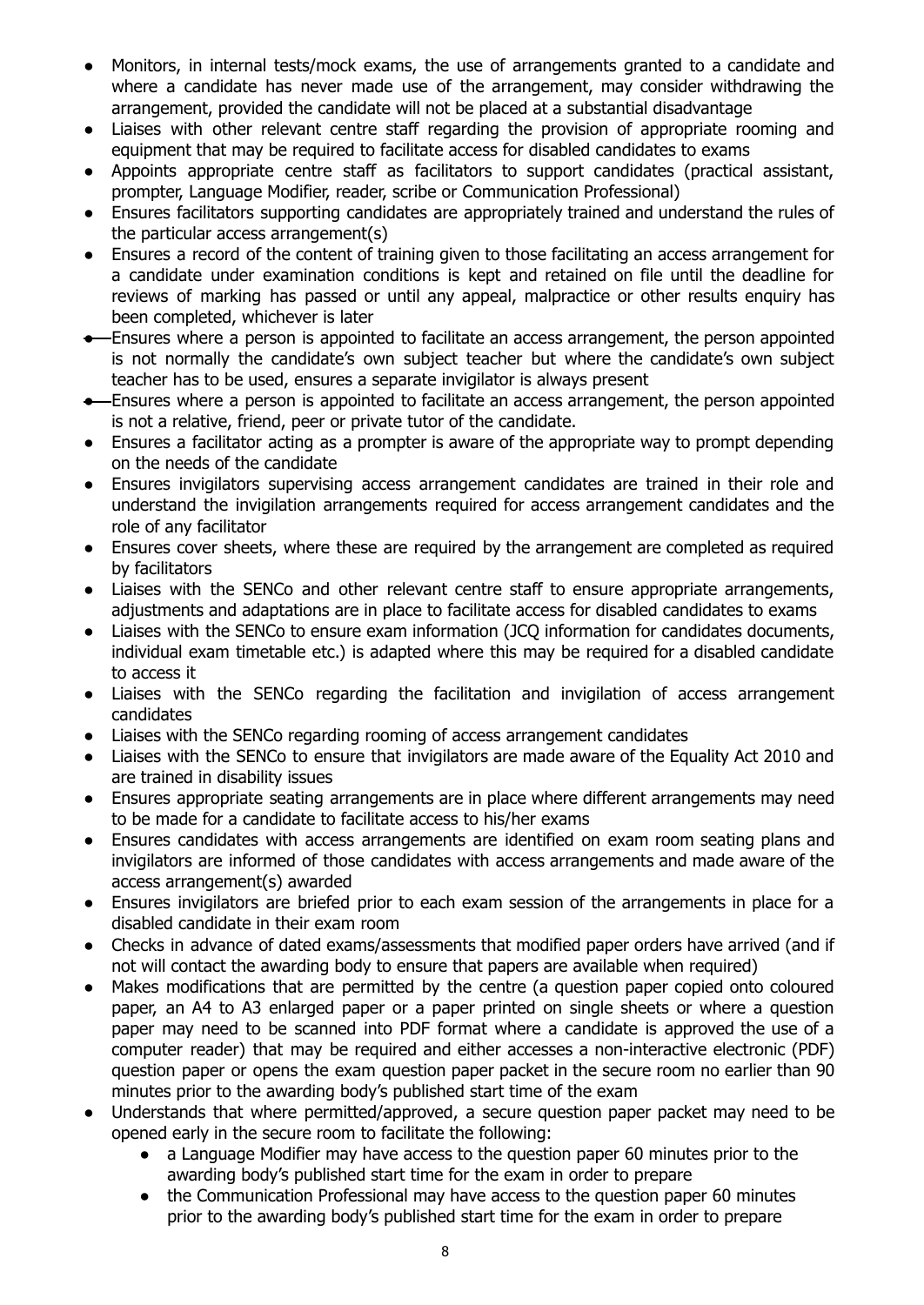- Monitors, in internal tests/mock exams, the use of arrangements granted to a candidate and where a candidate has never made use of the arrangement, may consider withdrawing the arrangement, provided the candidate will not be placed at a substantial disadvantage
- Liaises with other relevant centre staff regarding the provision of appropriate rooming and equipment that may be required to facilitate access for disabled candidates to exams
- Appoints appropriate centre staff as facilitators to support candidates (practical assistant, prompter, Language Modifier, reader, scribe or Communication Professional)
- Ensures facilitators supporting candidates are appropriately trained and understand the rules of the particular access arrangement(s)
- Ensures a record of the content of training given to those facilitating an access arrangement for a candidate under examination conditions is kept and retained on file until the deadline for reviews of marking has passed or until any appeal, malpractice or other results enquiry has been completed, whichever is later
- Ensures where a person is appointed to facilitate an access arrangement, the person appointed is not normally the candidate's own subject teacher but where the candidate's own subject teacher has to be used, ensures a separate invigilator is always present
- Ensures where a person is appointed to facilitate an access arrangement, the person appointed is not a relative, friend, peer or private tutor of the candidate.
- Ensures a facilitator acting as a prompter is aware of the appropriate way to prompt depending on the needs of the candidate
- Ensures invigilators supervising access arrangement candidates are trained in their role and understand the invigilation arrangements required for access arrangement candidates and the role of any facilitator
- Ensures cover sheets, where these are required by the arrangement are completed as required by facilitators
- Liaises with the SENCo and other relevant centre staff to ensure appropriate arrangements, adjustments and adaptations are in place to facilitate access for disabled candidates to exams
- Liaises with the SENCo to ensure exam information (JCQ information for candidates documents, individual exam timetable etc.) is adapted where this may be required for a disabled candidate to access it
- Liaises with the SENCo regarding the facilitation and invigilation of access arrangement candidates
- Liaises with the SENCo regarding rooming of access arrangement candidates
- Liaises with the SENCo to ensure that invigilators are made aware of the Equality Act 2010 and are trained in disability issues
- Ensures appropriate seating arrangements are in place where different arrangements may need to be made for a candidate to facilitate access to his/her exams
- Ensures candidates with access arrangements are identified on exam room seating plans and invigilators are informed of those candidates with access arrangements and made aware of the access arrangement(s) awarded
- Ensures invigilators are briefed prior to each exam session of the arrangements in place for a disabled candidate in their exam room
- Checks in advance of dated exams/assessments that modified paper orders have arrived (and if not will contact the awarding body to ensure that papers are available when required)
- Makes modifications that are permitted by the centre (a question paper copied onto coloured paper, an A4 to A3 enlarged paper or a paper printed on single sheets or where a question paper may need to be scanned into PDF format where a candidate is approved the use of a computer reader) that may be required and either accesses a non-interactive electronic (PDF) question paper or opens the exam question paper packet in the secure room no earlier than 90 minutes prior to the awarding body's published start time of the exam
- Understands that where permitted/approved, a secure question paper packet may need to be opened early in the secure room to facilitate the following:
	- a Language Modifier may have access to the question paper 60 minutes prior to the awarding body's published start time for the exam in order to prepare
	- the Communication Professional may have access to the question paper 60 minutes prior to the awarding body's published start time for the exam in order to prepare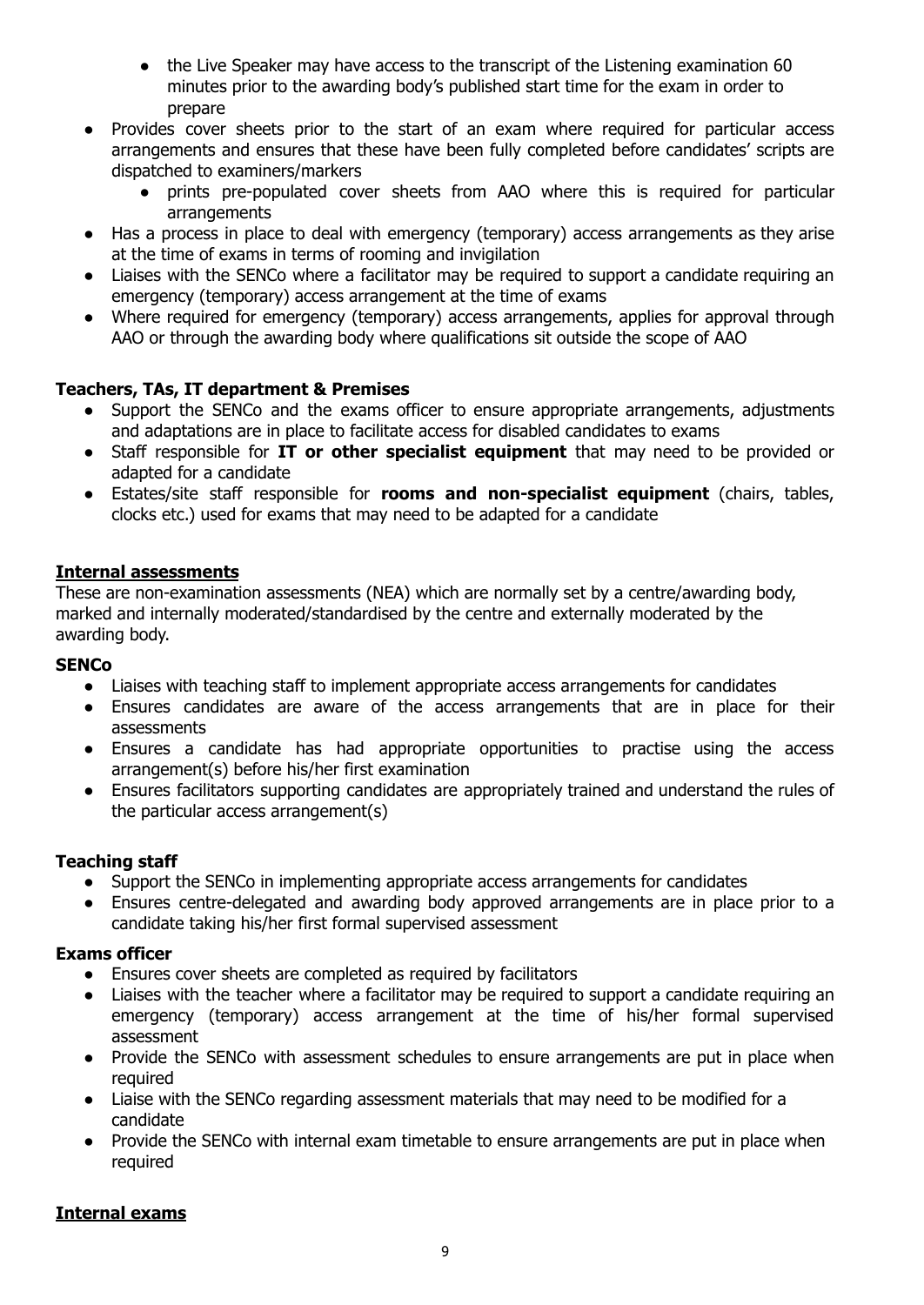- the Live Speaker may have access to the transcript of the Listening examination 60 minutes prior to the awarding body's published start time for the exam in order to prepare
- Provides cover sheets prior to the start of an exam where required for particular access arrangements and ensures that these have been fully completed before candidates' scripts are dispatched to examiners/markers
	- prints pre-populated cover sheets from AAO where this is required for particular arrangements
- Has a process in place to deal with emergency (temporary) access arrangements as they arise at the time of exams in terms of rooming and invigilation
- Liaises with the SENCo where a facilitator may be required to support a candidate requiring an emergency (temporary) access arrangement at the time of exams
- Where required for emergency (temporary) access arrangements, applies for approval through AAO or through the awarding body where qualifications sit outside the scope of AAO

#### **Teachers, TAs, IT department & Premises**

- Support the SENCo and the exams officer to ensure appropriate arrangements, adjustments and adaptations are in place to facilitate access for disabled candidates to exams
- Staff responsible for **IT or other specialist equipment** that may need to be provided or adapted for a candidate
- Estates/site staff responsible for **rooms and non-specialist equipment** (chairs, tables, clocks etc.) used for exams that may need to be adapted for a candidate

#### <span id="page-9-0"></span>**Internal assessments**

These are non-examination assessments (NEA) which are normally set by a centre/awarding body, marked and internally moderated/standardised by the centre and externally moderated by the awarding body.

#### **SENCo**

- Liaises with teaching staff to implement appropriate access arrangements for candidates
- Ensures candidates are aware of the access arrangements that are in place for their assessments
- Ensures a candidate has had appropriate opportunities to practise using the access arrangement(s) before his/her first examination
- Ensures facilitators supporting candidates are appropriately trained and understand the rules of the particular access arrangement(s)

#### **Teaching staff**

- Support the SENCo in implementing appropriate access arrangements for candidates
- Ensures centre-delegated and awarding body approved arrangements are in place prior to a candidate taking his/her first formal supervised assessment

#### **Exams officer**

- Ensures cover sheets are completed as required by facilitators
- Liaises with the teacher where a facilitator may be required to support a candidate requiring an emergency (temporary) access arrangement at the time of his/her formal supervised assessment
- Provide the SENCo with assessment schedules to ensure arrangements are put in place when required
- **●** Liaise with the SENCo regarding assessment materials that may need to be modified for a candidate
- **●** Provide the SENCo with internal exam timetable to ensure arrangements are put in place when required

#### **Internal exams**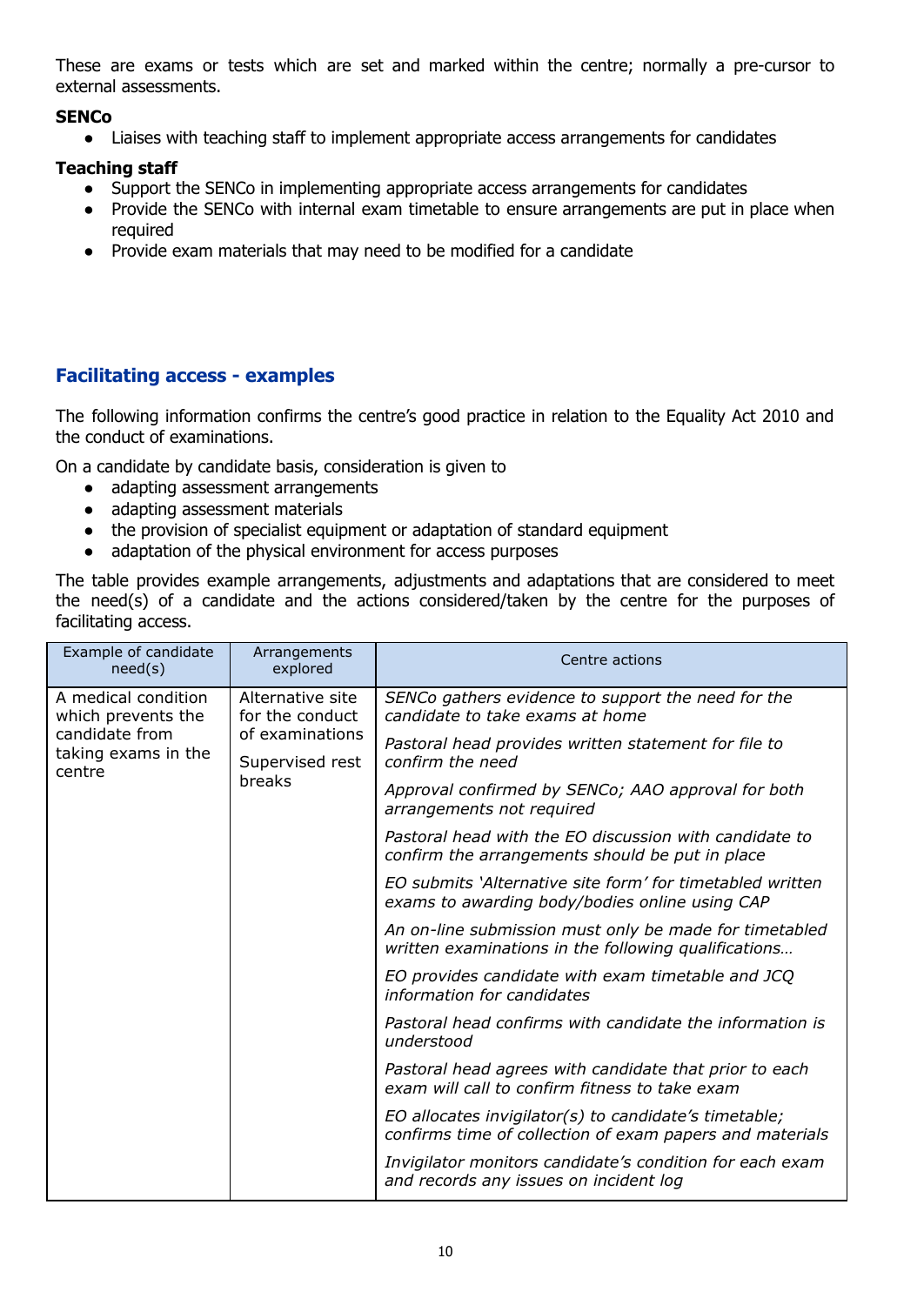These are exams or tests which are set and marked within the centre; normally a pre-cursor to external assessments.

#### **SENCo**

● Liaises with teaching staff to implement appropriate access arrangements for candidates

#### **Teaching staff**

- Support the SENCo in implementing appropriate access arrangements for candidates
- Provide the SENCo with internal exam timetable to ensure arrangements are put in place when required
- Provide exam materials that may need to be modified for a candidate

#### <span id="page-10-0"></span>**Facilitating access - examples**

The following information confirms the centre's good practice in relation to the Equality Act 2010 and the conduct of examinations.

On a candidate by candidate basis, consideration is given to

- adapting assessment arrangements
- adapting assessment materials
- the provision of specialist equipment or adaptation of standard equipment
- adaptation of the physical environment for access purposes

The table provides example arrangements, adjustments and adaptations that are considered to meet the need(s) of a candidate and the actions considered/taken by the centre for the purposes of facilitating access.

| Example of candidate<br>need(s)                                                                                                                                                     | Arrangements<br>explored                                                                                       | Centre actions                                                                                                    |
|-------------------------------------------------------------------------------------------------------------------------------------------------------------------------------------|----------------------------------------------------------------------------------------------------------------|-------------------------------------------------------------------------------------------------------------------|
| A medical condition<br>Alternative site<br>which prevents the<br>for the conduct<br>candidate from<br>of examinations<br>taking exams in the<br>Supervised rest<br>centre<br>breaks |                                                                                                                | SENCo gathers evidence to support the need for the<br>candidate to take exams at home                             |
|                                                                                                                                                                                     |                                                                                                                | Pastoral head provides written statement for file to<br>confirm the need                                          |
|                                                                                                                                                                                     |                                                                                                                | Approval confirmed by SENCo; AAO approval for both<br>arrangements not required                                   |
|                                                                                                                                                                                     | Pastoral head with the EO discussion with candidate to<br>confirm the arrangements should be put in place      |                                                                                                                   |
|                                                                                                                                                                                     | EO submits 'Alternative site form' for timetabled written<br>exams to awarding body/bodies online using CAP    |                                                                                                                   |
|                                                                                                                                                                                     | An on-line submission must only be made for timetabled<br>written examinations in the following qualifications |                                                                                                                   |
|                                                                                                                                                                                     | EO provides candidate with exam timetable and JCQ<br>information for candidates                                |                                                                                                                   |
|                                                                                                                                                                                     | Pastoral head confirms with candidate the information is<br>understood                                         |                                                                                                                   |
|                                                                                                                                                                                     |                                                                                                                | Pastoral head agrees with candidate that prior to each<br>exam will call to confirm fitness to take exam          |
|                                                                                                                                                                                     |                                                                                                                | EO allocates invigilator(s) to candidate's timetable;<br>confirms time of collection of exam papers and materials |
|                                                                                                                                                                                     | Invigilator monitors candidate's condition for each exam<br>and records any issues on incident log             |                                                                                                                   |